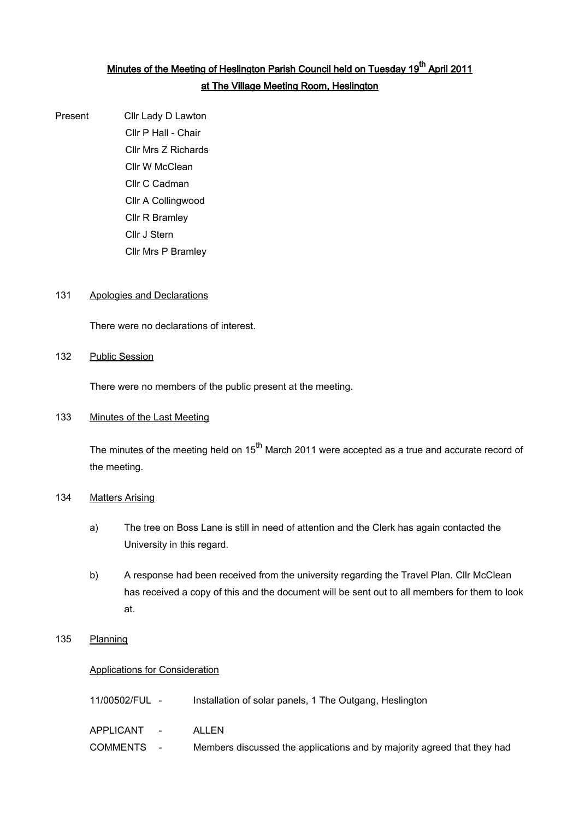# <u>Minutes of the Meeting of Heslington Parish Council held on Tuesday 19<sup>th</sup> April 2011</u> at The Village Meeting Room, Heslington

Present Cllr Lady D Lawton Cllr P Hall - Chair Cllr Mrs Z Richards Cllr W McClean Cllr C Cadman Cllr A Collingwood Cllr R Bramley Cllr J Stern Cllr Mrs P Bramley

#### 131 Apologies and Declarations

There were no declarations of interest.

#### 132 Public Session

There were no members of the public present at the meeting.

#### 133 Minutes of the Last Meeting

The minutes of the meeting held on  $15<sup>th</sup>$  March 2011 were accepted as a true and accurate record of the meeting.

#### 134 Matters Arising

- a) The tree on Boss Lane is still in need of attention and the Clerk has again contacted the University in this regard.
- b) A response had been received from the university regarding the Travel Plan. Cllr McClean has received a copy of this and the document will be sent out to all members for them to look at.

### 135 Planning

#### Applications for Consideration

| 11/00502/FUL - | Installation of solar panels, 1 The Outgang, Heslington                 |
|----------------|-------------------------------------------------------------------------|
| APPLICANT -    | ALL FN.                                                                 |
| COMMENTS -     | Members discussed the applications and by majority agreed that they had |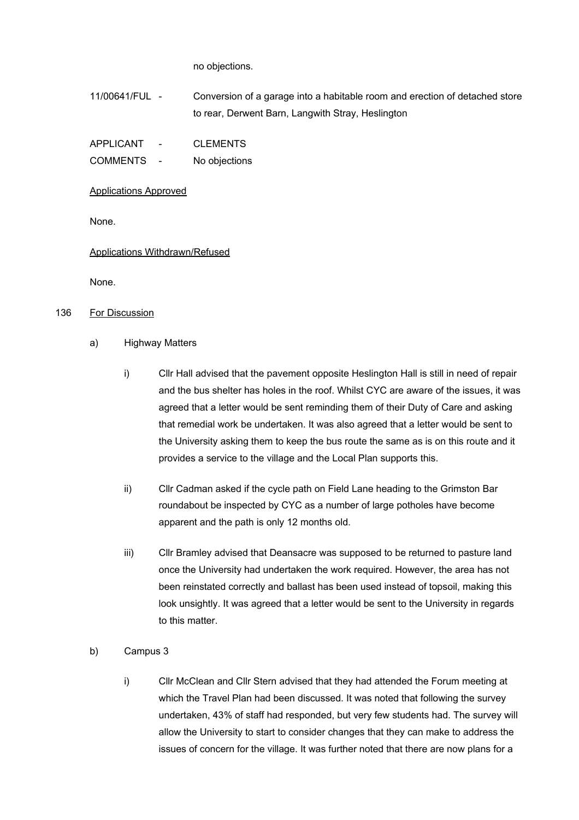no objections.

11/00641/FUL - Conversion of a garage into a habitable room and erection of detached store to rear, Derwent Barn, Langwith Stray, Heslington

| APPLICANT | <b>CLEMENTS</b> |
|-----------|-----------------|
|           |                 |

COMMENTS - No objections

Applications Approved

None.

Applications Withdrawn/Refused

None.

### 136 For Discussion

#### a) Highway Matters

- i) Cllr Hall advised that the pavement opposite Heslington Hall is still in need of repair and the bus shelter has holes in the roof. Whilst CYC are aware of the issues, it was agreed that a letter would be sent reminding them of their Duty of Care and asking that remedial work be undertaken. It was also agreed that a letter would be sent to the University asking them to keep the bus route the same as is on this route and it provides a service to the village and the Local Plan supports this.
- ii) Cllr Cadman asked if the cycle path on Field Lane heading to the Grimston Bar roundabout be inspected by CYC as a number of large potholes have become apparent and the path is only 12 months old.
- iii) Cllr Bramley advised that Deansacre was supposed to be returned to pasture land once the University had undertaken the work required. However, the area has not been reinstated correctly and ballast has been used instead of topsoil, making this look unsightly. It was agreed that a letter would be sent to the University in regards to this matter.

## b) Campus 3

i) Cllr McClean and Cllr Stern advised that they had attended the Forum meeting at which the Travel Plan had been discussed. It was noted that following the survey undertaken, 43% of staff had responded, but very few students had. The survey will allow the University to start to consider changes that they can make to address the issues of concern for the village. It was further noted that there are now plans for a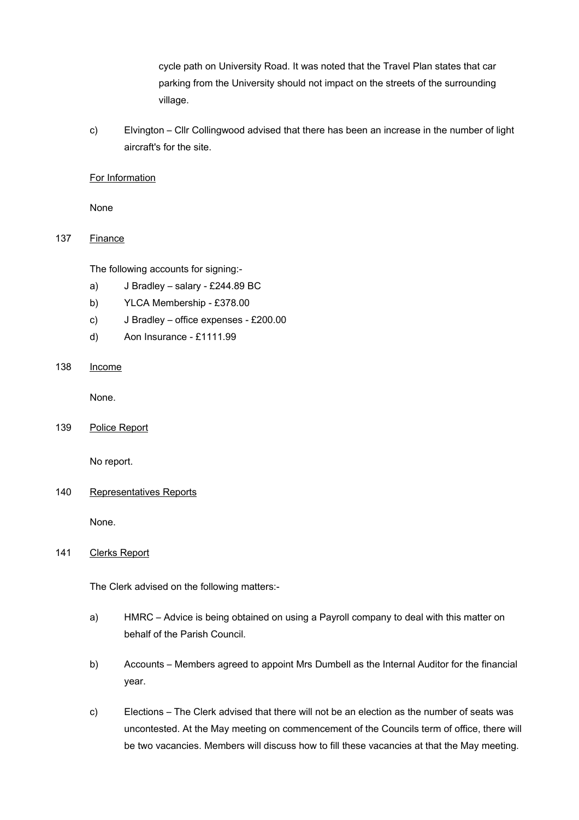cycle path on University Road. It was noted that the Travel Plan states that car parking from the University should not impact on the streets of the surrounding village.

c) Elvington – Cllr Collingwood advised that there has been an increase in the number of light aircraft's for the site.

#### For Information

None

### 137 Finance

The following accounts for signing:-

- a) J Bradley salary £244.89 BC
- b) YLCA Membership £378.00
- c) J Bradley office expenses £200.00
- d) Aon Insurance £1111.99

## 138 Income

None.

139 Police Report

No report.

#### 140 Representatives Reports

None.

## 141 Clerks Report

The Clerk advised on the following matters:-

- a) HMRC Advice is being obtained on using a Payroll company to deal with this matter on behalf of the Parish Council.
- b) Accounts Members agreed to appoint Mrs Dumbell as the Internal Auditor for the financial year.
- c) Elections The Clerk advised that there will not be an election as the number of seats was uncontested. At the May meeting on commencement of the Councils term of office, there will be two vacancies. Members will discuss how to fill these vacancies at that the May meeting.